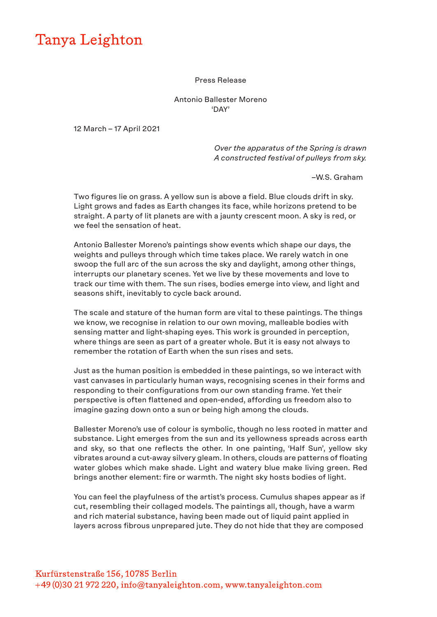## Tanya Leighton

## Press Release

## Antonio Ballester Moreno 'DAY'

12 March – 17 April 2021

 *Over the apparatus of the Spring is drawn A constructed festival of pulleys from sky.* 

–W.S. Graham

Two figures lie on grass. A yellow sun is above a field. Blue clouds drift in sky. Light grows and fades as Earth changes its face, while horizons pretend to be straight. A party of lit planets are with a jaunty crescent moon. A sky is red, or we feel the sensation of heat.

Antonio Ballester Moreno's paintings show events which shape our days, the weights and pulleys through which time takes place. We rarely watch in one swoop the full arc of the sun across the sky and daylight, among other things, interrupts our planetary scenes. Yet we live by these movements and love to track our time with them. The sun rises, bodies emerge into view, and light and seasons shift, inevitably to cycle back around.

The scale and stature of the human form are vital to these paintings. The things we know, we recognise in relation to our own moving, malleable bodies with sensing matter and light-shaping eyes. This work is grounded in perception, where things are seen as part of a greater whole. But it is easy not always to remember the rotation of Earth when the sun rises and sets.

Just as the human position is embedded in these paintings, so we interact with vast canvases in particularly human ways, recognising scenes in their forms and responding to their configurations from our own standing frame. Yet their perspective is often flattened and open-ended, affording us freedom also to imagine gazing down onto a sun or being high among the clouds.

Ballester Moreno's use of colour is symbolic, though no less rooted in matter and substance. Light emerges from the sun and its yellowness spreads across earth and sky, so that one reflects the other. In one painting, 'Half Sun', yellow sky vibrates around a cut-away silvery gleam. In others, clouds are patterns of floating water globes which make shade. Light and watery blue make living green. Red brings another element: fire or warmth. The night sky hosts bodies of light.

You can feel the playfulness of the artist's process. Cumulus shapes appear as if cut, resembling their collaged models. The paintings all, though, have a warm and rich material substance, having been made out of liquid paint applied in layers across fibrous unprepared jute. They do not hide that they are composed